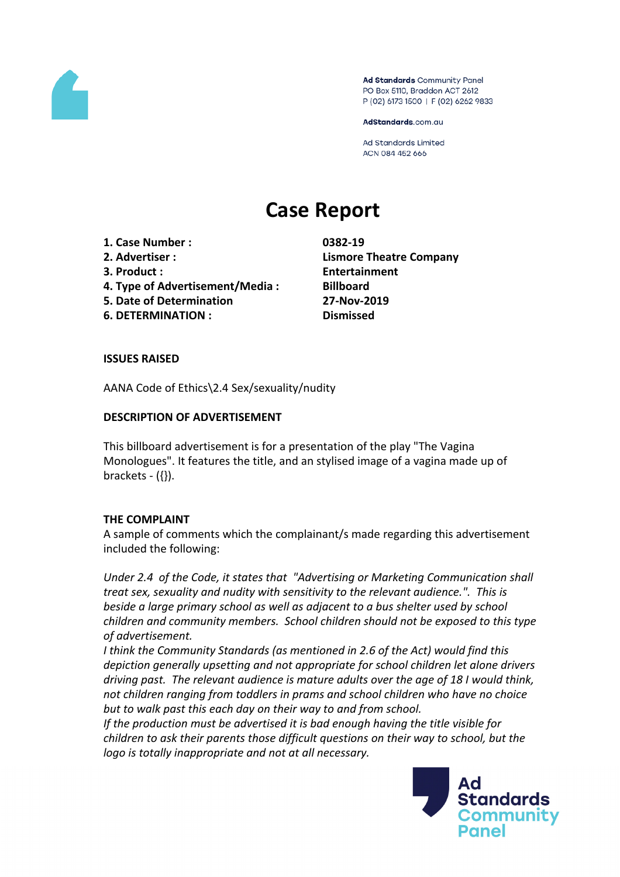

Ad Standards Community Panel PO Box 5110, Braddon ACT 2612 P (02) 6173 1500 | F (02) 6262 9833

AdStandards.com.au

Ad Standards Limited ACN 084 452 666

# **Case Report**

- **1. Case Number : 0382-19**
- 
- 
- **4. Type of Advertisement/Media : Billboard**
- **5. Date of Determination 27-Nov-2019**
- **6. DETERMINATION : Dismissed**

**2. Advertiser : Lismore Theatre Company 3. Product : Entertainment**

### **ISSUES RAISED**

AANA Code of Ethics\2.4 Sex/sexuality/nudity

### **DESCRIPTION OF ADVERTISEMENT**

This billboard advertisement is for a presentation of the play "The Vagina Monologues". It features the title, and an stylised image of a vagina made up of brackets  $({}$ }).

# **THE COMPLAINT**

A sample of comments which the complainant/s made regarding this advertisement included the following:

*Under 2.4 of the Code, it states that "Advertising or Marketing Communication shall treat sex, sexuality and nudity with sensitivity to the relevant audience.". This is beside a large primary school as well as adjacent to a bus shelter used by school children and community members. School children should not be exposed to this type of advertisement.*

*I think the Community Standards (as mentioned in 2.6 of the Act) would find this depiction generally upsetting and not appropriate for school children let alone drivers driving past. The relevant audience is mature adults over the age of 18 I would think, not children ranging from toddlers in prams and school children who have no choice but to walk past this each day on their way to and from school.*

*If the production must be advertised it is bad enough having the title visible for children to ask their parents those difficult questions on their way to school, but the logo is totally inappropriate and not at all necessary.*

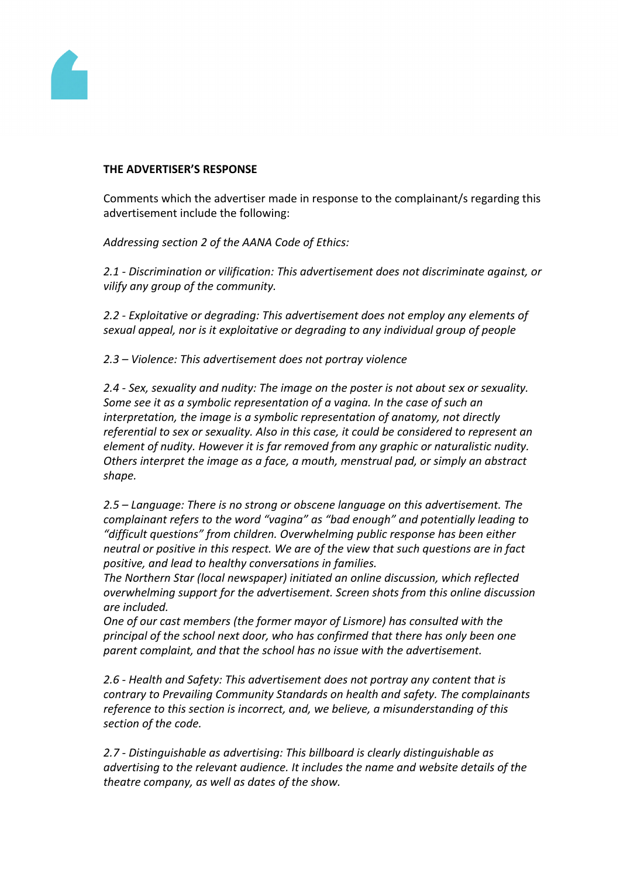

#### **THE ADVERTISER'S RESPONSE**

Comments which the advertiser made in response to the complainant/s regarding this advertisement include the following:

*Addressing section 2 of the AANA Code of Ethics:*

*2.1 - Discrimination or vilification: This advertisement does not discriminate against, or vilify any group of the community.*

*2.2 - Exploitative or degrading: This advertisement does not employ any elements of sexual appeal, nor is it exploitative or degrading to any individual group of people*

*2.3 – Violence: This advertisement does not portray violence*

*2.4 - Sex, sexuality and nudity: The image on the poster is not about sex or sexuality. Some see it as a symbolic representation of a vagina. In the case of such an interpretation, the image is a symbolic representation of anatomy, not directly referential to sex or sexuality. Also in this case, it could be considered to represent an element of nudity. However it is far removed from any graphic or naturalistic nudity. Others interpret the image as a face, a mouth, menstrual pad, or simply an abstract shape.*

*2.5 – Language: There is no strong or obscene language on this advertisement. The complainant refers to the word "vagina" as "bad enough" and potentially leading to "difficult questions" from children. Overwhelming public response has been either neutral or positive in this respect. We are of the view that such questions are in fact positive, and lead to healthy conversations in families.*

*The Northern Star (local newspaper) initiated an online discussion, which reflected overwhelming support for the advertisement. Screen shots from this online discussion are included.*

*One of our cast members (the former mayor of Lismore) has consulted with the principal of the school next door, who has confirmed that there has only been one parent complaint, and that the school has no issue with the advertisement.*

*2.6 - Health and Safety: This advertisement does not portray any content that is contrary to Prevailing Community Standards on health and safety. The complainants reference to this section is incorrect, and, we believe, a misunderstanding of this section of the code.*

*2.7 - Distinguishable as advertising: This billboard is clearly distinguishable as advertising to the relevant audience. It includes the name and website details of the theatre company, as well as dates of the show.*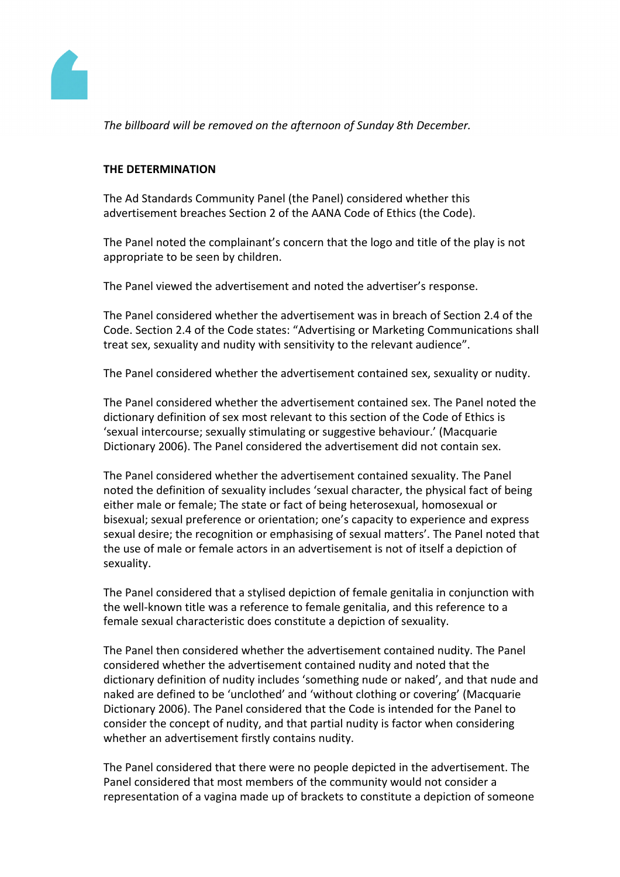

*The billboard will be removed on the afternoon of Sunday 8th December.*

## **THE DETERMINATION**

The Ad Standards Community Panel (the Panel) considered whether this advertisement breaches Section 2 of the AANA Code of Ethics (the Code).

The Panel noted the complainant's concern that the logo and title of the play is not appropriate to be seen by children.

The Panel viewed the advertisement and noted the advertiser's response.

The Panel considered whether the advertisement was in breach of Section 2.4 of the Code. Section 2.4 of the Code states: "Advertising or Marketing Communications shall treat sex, sexuality and nudity with sensitivity to the relevant audience".

The Panel considered whether the advertisement contained sex, sexuality or nudity.

The Panel considered whether the advertisement contained sex. The Panel noted the dictionary definition of sex most relevant to this section of the Code of Ethics is 'sexual intercourse; sexually stimulating or suggestive behaviour.' (Macquarie Dictionary 2006). The Panel considered the advertisement did not contain sex.

The Panel considered whether the advertisement contained sexuality. The Panel noted the definition of sexuality includes 'sexual character, the physical fact of being either male or female; The state or fact of being heterosexual, homosexual or bisexual; sexual preference or orientation; one's capacity to experience and express sexual desire; the recognition or emphasising of sexual matters'. The Panel noted that the use of male or female actors in an advertisement is not of itself a depiction of sexuality.

The Panel considered that a stylised depiction of female genitalia in conjunction with the well-known title was a reference to female genitalia, and this reference to a female sexual characteristic does constitute a depiction of sexuality.

The Panel then considered whether the advertisement contained nudity. The Panel considered whether the advertisement contained nudity and noted that the dictionary definition of nudity includes 'something nude or naked', and that nude and naked are defined to be 'unclothed' and 'without clothing or covering' (Macquarie Dictionary 2006). The Panel considered that the Code is intended for the Panel to consider the concept of nudity, and that partial nudity is factor when considering whether an advertisement firstly contains nudity.

The Panel considered that there were no people depicted in the advertisement. The Panel considered that most members of the community would not consider a representation of a vagina made up of brackets to constitute a depiction of someone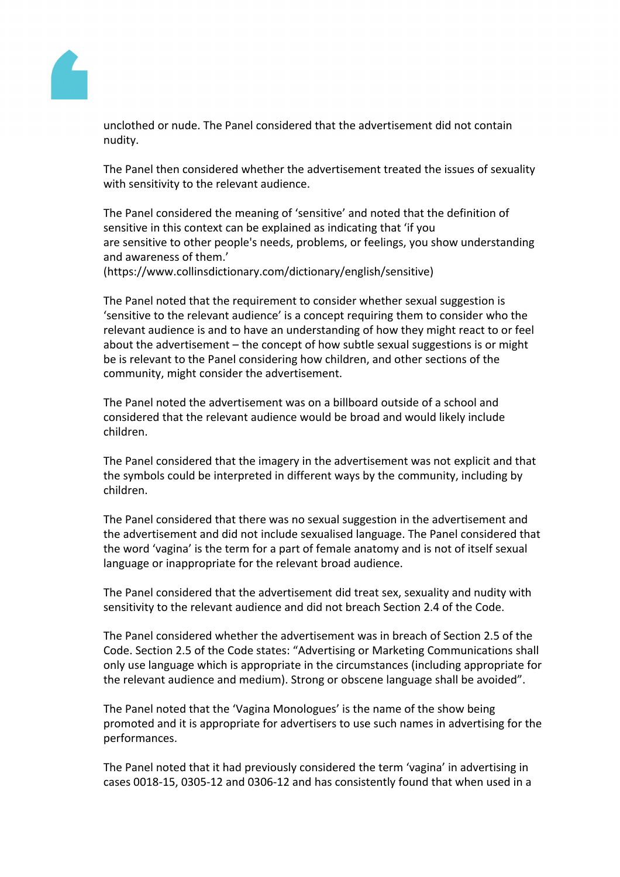

unclothed or nude. The Panel considered that the advertisement did not contain nudity.

The Panel then considered whether the advertisement treated the issues of sexuality with sensitivity to the relevant audience.

The Panel considered the meaning of 'sensitive' and noted that the definition of sensitive in this context can be explained as indicating that 'if you are sensitive to other people's needs, problems, or feelings, you show understanding and awareness of them.'

(https://www.collinsdictionary.com/dictionary/english/sensitive)

The Panel noted that the requirement to consider whether sexual suggestion is 'sensitive to the relevant audience' is a concept requiring them to consider who the relevant audience is and to have an understanding of how they might react to or feel about the advertisement – the concept of how subtle sexual suggestions is or might be is relevant to the Panel considering how children, and other sections of the community, might consider the advertisement.

The Panel noted the advertisement was on a billboard outside of a school and considered that the relevant audience would be broad and would likely include children.

The Panel considered that the imagery in the advertisement was not explicit and that the symbols could be interpreted in different ways by the community, including by children.

The Panel considered that there was no sexual suggestion in the advertisement and the advertisement and did not include sexualised language. The Panel considered that the word 'vagina' is the term for a part of female anatomy and is not of itself sexual language or inappropriate for the relevant broad audience.

The Panel considered that the advertisement did treat sex, sexuality and nudity with sensitivity to the relevant audience and did not breach Section 2.4 of the Code.

The Panel considered whether the advertisement was in breach of Section 2.5 of the Code. Section 2.5 of the Code states: "Advertising or Marketing Communications shall only use language which is appropriate in the circumstances (including appropriate for the relevant audience and medium). Strong or obscene language shall be avoided".

The Panel noted that the 'Vagina Monologues' is the name of the show being promoted and it is appropriate for advertisers to use such names in advertising for the performances.

The Panel noted that it had previously considered the term 'vagina' in advertising in cases 0018-15, 0305-12 and 0306-12 and has consistently found that when used in a